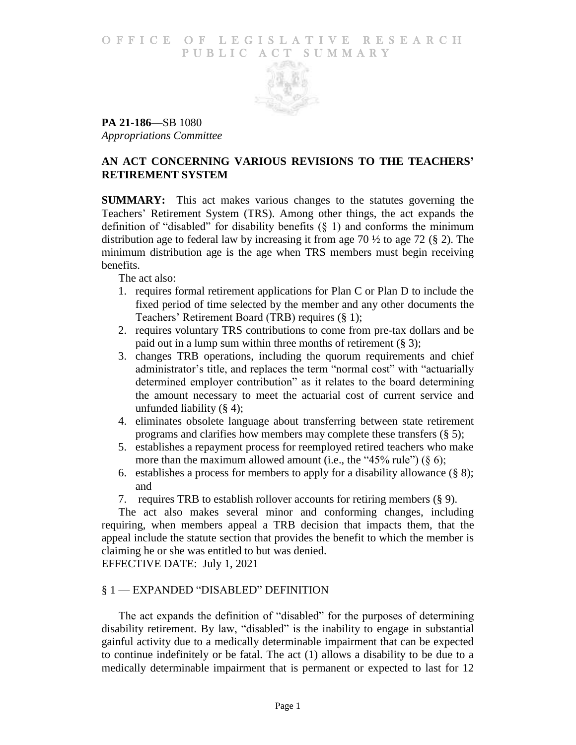### O F FICE OF LEGISLATIVE RESEARCH PUBLIC ACT SUMMARY



**PA 21-186**—SB 1080 *Appropriations Committee*

# **AN ACT CONCERNING VARIOUS REVISIONS TO THE TEACHERS' RETIREMENT SYSTEM**

**SUMMARY:** This act makes various changes to the statutes governing the Teachers' Retirement System (TRS). Among other things, the act expands the definition of "disabled" for disability benefits  $(\S 1)$  and conforms the minimum distribution age to federal law by increasing it from age 70 ½ to age 72 (§ 2). The minimum distribution age is the age when TRS members must begin receiving benefits.

The act also:

- 1. requires formal retirement applications for Plan C or Plan D to include the fixed period of time selected by the member and any other documents the Teachers' Retirement Board (TRB) requires (§ 1);
- 2. requires voluntary TRS contributions to come from pre-tax dollars and be paid out in a lump sum within three months of retirement  $(\S 3)$ ;
- 3. changes TRB operations, including the quorum requirements and chief administrator's title, and replaces the term "normal cost" with "actuarially determined employer contribution" as it relates to the board determining the amount necessary to meet the actuarial cost of current service and unfunded liability  $(\S 4)$ ;
- 4. eliminates obsolete language about transferring between state retirement programs and clarifies how members may complete these transfers (§ 5);
- 5. establishes a repayment process for reemployed retired teachers who make more than the maximum allowed amount (i.e., the "45% rule")  $(\S 6)$ ;
- 6. establishes a process for members to apply for a disability allowance  $(\S 8)$ ; and
- 7. requires TRB to establish rollover accounts for retiring members (§ 9).

The act also makes several minor and conforming changes, including requiring, when members appeal a TRB decision that impacts them, that the appeal include the statute section that provides the benefit to which the member is claiming he or she was entitled to but was denied.

EFFECTIVE DATE: July 1, 2021

## § 1 — EXPANDED "DISABLED" DEFINITION

The act expands the definition of "disabled" for the purposes of determining disability retirement. By law, "disabled" is the inability to engage in substantial gainful activity due to a medically determinable impairment that can be expected to continue indefinitely or be fatal. The act (1) allows a disability to be due to a medically determinable impairment that is permanent or expected to last for 12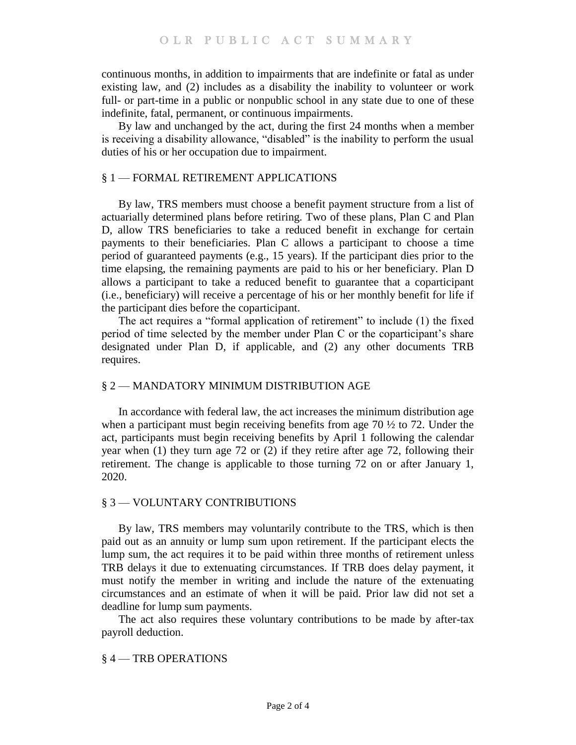continuous months, in addition to impairments that are indefinite or fatal as under existing law, and (2) includes as a disability the inability to volunteer or work full- or part-time in a public or nonpublic school in any state due to one of these indefinite, fatal, permanent, or continuous impairments.

By law and unchanged by the act, during the first 24 months when a member is receiving a disability allowance, "disabled" is the inability to perform the usual duties of his or her occupation due to impairment.

## § 1 — FORMAL RETIREMENT APPLICATIONS

By law, TRS members must choose a benefit payment structure from a list of actuarially determined plans before retiring. Two of these plans, Plan C and Plan D, allow TRS beneficiaries to take a reduced benefit in exchange for certain payments to their beneficiaries. Plan C allows a participant to choose a time period of guaranteed payments (e.g., 15 years). If the participant dies prior to the time elapsing, the remaining payments are paid to his or her beneficiary. Plan D allows a participant to take a reduced benefit to guarantee that a coparticipant (i.e., beneficiary) will receive a percentage of his or her monthly benefit for life if the participant dies before the coparticipant.

The act requires a "formal application of retirement" to include (1) the fixed period of time selected by the member under Plan C or the coparticipant's share designated under Plan D, if applicable, and (2) any other documents TRB requires.

### § 2 — MANDATORY MINIMUM DISTRIBUTION AGE

In accordance with federal law, the act increases the minimum distribution age when a participant must begin receiving benefits from age  $70\frac{1}{2}$  to 72. Under the act, participants must begin receiving benefits by April 1 following the calendar year when (1) they turn age 72 or (2) if they retire after age 72, following their retirement. The change is applicable to those turning 72 on or after January 1, 2020.

### § 3 — VOLUNTARY CONTRIBUTIONS

By law, TRS members may voluntarily contribute to the TRS, which is then paid out as an annuity or lump sum upon retirement. If the participant elects the lump sum, the act requires it to be paid within three months of retirement unless TRB delays it due to extenuating circumstances. If TRB does delay payment, it must notify the member in writing and include the nature of the extenuating circumstances and an estimate of when it will be paid. Prior law did not set a deadline for lump sum payments.

The act also requires these voluntary contributions to be made by after-tax payroll deduction.

#### § 4 — TRB OPERATIONS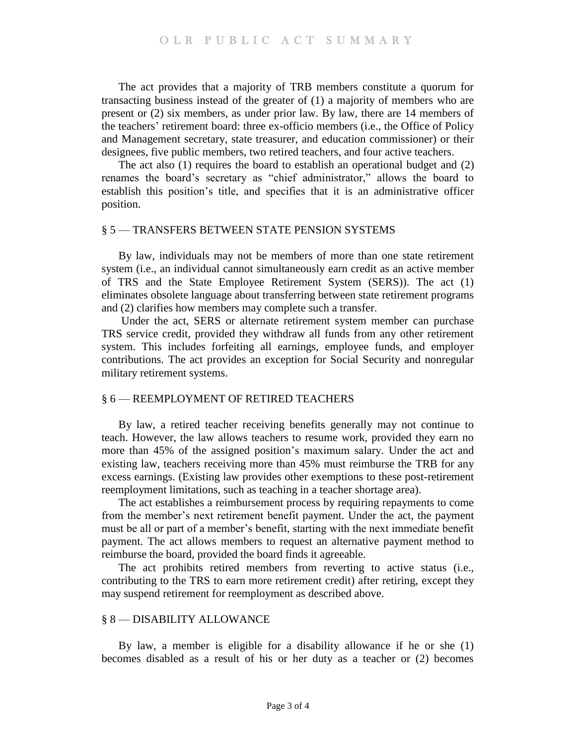The act provides that a majority of TRB members constitute a quorum for transacting business instead of the greater of (1) a majority of members who are present or (2) six members, as under prior law. By law, there are 14 members of the teachers' retirement board: three ex-officio members (i.e., the Office of Policy and Management secretary, state treasurer, and education commissioner) or their designees, five public members, two retired teachers, and four active teachers.

The act also (1) requires the board to establish an operational budget and (2) renames the board's secretary as "chief administrator," allows the board to establish this position's title, and specifies that it is an administrative officer position.

### § 5 — TRANSFERS BETWEEN STATE PENSION SYSTEMS

By law, individuals may not be members of more than one state retirement system (i.e., an individual cannot simultaneously earn credit as an active member of TRS and the State Employee Retirement System (SERS)). The act (1) eliminates obsolete language about transferring between state retirement programs and (2) clarifies how members may complete such a transfer.

Under the act, SERS or alternate retirement system member can purchase TRS service credit, provided they withdraw all funds from any other retirement system. This includes forfeiting all earnings, employee funds, and employer contributions. The act provides an exception for Social Security and nonregular military retirement systems.

#### § 6 — REEMPLOYMENT OF RETIRED TEACHERS

By law, a retired teacher receiving benefits generally may not continue to teach. However, the law allows teachers to resume work, provided they earn no more than 45% of the assigned position's maximum salary. Under the act and existing law, teachers receiving more than 45% must reimburse the TRB for any excess earnings. (Existing law provides other exemptions to these post-retirement reemployment limitations, such as teaching in a teacher shortage area).

The act establishes a reimbursement process by requiring repayments to come from the member's next retirement benefit payment. Under the act, the payment must be all or part of a member's benefit, starting with the next immediate benefit payment. The act allows members to request an alternative payment method to reimburse the board, provided the board finds it agreeable.

The act prohibits retired members from reverting to active status (i.e., contributing to the TRS to earn more retirement credit) after retiring, except they may suspend retirement for reemployment as described above.

#### § 8 — DISABILITY ALLOWANCE

By law, a member is eligible for a disability allowance if he or she (1) becomes disabled as a result of his or her duty as a teacher or (2) becomes